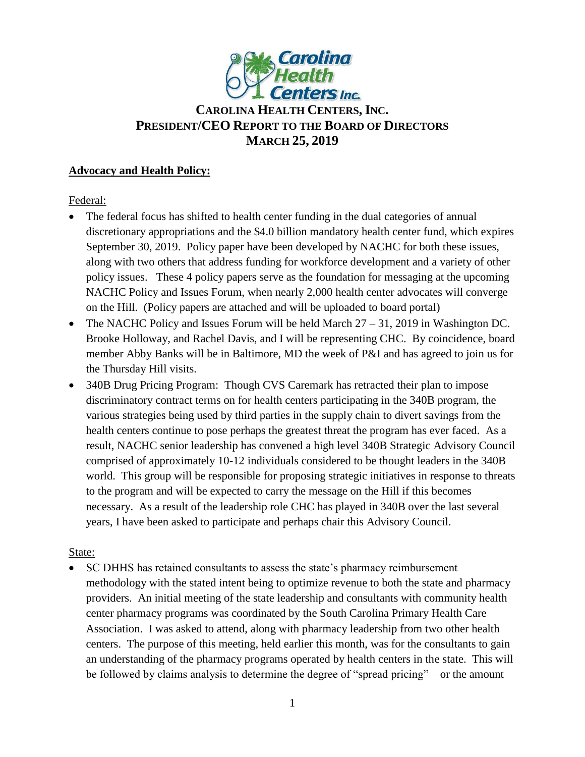

# **CAROLINA HEALTH CENTERS,INC. PRESIDENT/CEO REPORT TO THE BOARD OF DIRECTORS MARCH 25, 2019**

### **Advocacy and Health Policy:**

Federal:

- The federal focus has shifted to health center funding in the dual categories of annual discretionary appropriations and the \$4.0 billion mandatory health center fund, which expires September 30, 2019. Policy paper have been developed by NACHC for both these issues, along with two others that address funding for workforce development and a variety of other policy issues. These 4 policy papers serve as the foundation for messaging at the upcoming NACHC Policy and Issues Forum, when nearly 2,000 health center advocates will converge on the Hill. (Policy papers are attached and will be uploaded to board portal)
- The NACHC Policy and Issues Forum will be held March  $27 31$ , 2019 in Washington DC. Brooke Holloway, and Rachel Davis, and I will be representing CHC. By coincidence, board member Abby Banks will be in Baltimore, MD the week of P&I and has agreed to join us for the Thursday Hill visits.
- 340B Drug Pricing Program: Though CVS Caremark has retracted their plan to impose discriminatory contract terms on for health centers participating in the 340B program, the various strategies being used by third parties in the supply chain to divert savings from the health centers continue to pose perhaps the greatest threat the program has ever faced. As a result, NACHC senior leadership has convened a high level 340B Strategic Advisory Council comprised of approximately 10-12 individuals considered to be thought leaders in the 340B world. This group will be responsible for proposing strategic initiatives in response to threats to the program and will be expected to carry the message on the Hill if this becomes necessary. As a result of the leadership role CHC has played in 340B over the last several years, I have been asked to participate and perhaps chair this Advisory Council.

# State:

 SC DHHS has retained consultants to assess the state's pharmacy reimbursement methodology with the stated intent being to optimize revenue to both the state and pharmacy providers. An initial meeting of the state leadership and consultants with community health center pharmacy programs was coordinated by the South Carolina Primary Health Care Association. I was asked to attend, along with pharmacy leadership from two other health centers. The purpose of this meeting, held earlier this month, was for the consultants to gain an understanding of the pharmacy programs operated by health centers in the state. This will be followed by claims analysis to determine the degree of "spread pricing" – or the amount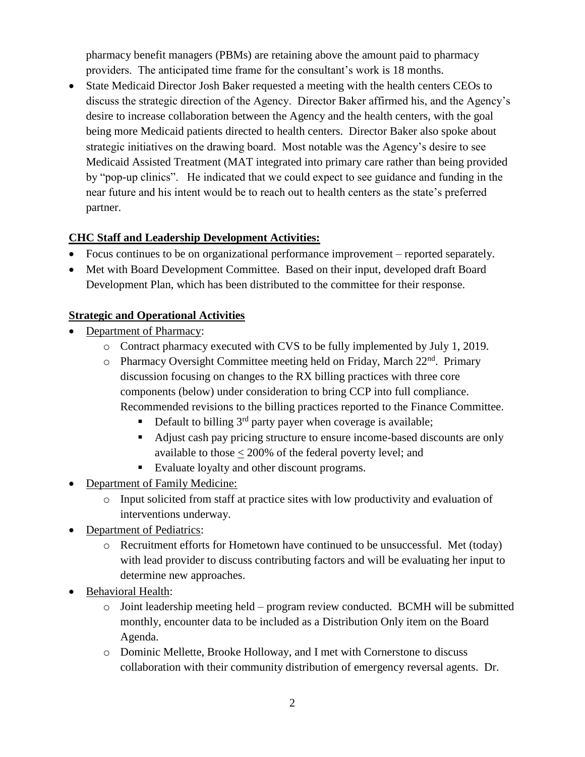pharmacy benefit managers (PBMs) are retaining above the amount paid to pharmacy providers. The anticipated time frame for the consultant's work is 18 months.

 State Medicaid Director Josh Baker requested a meeting with the health centers CEOs to discuss the strategic direction of the Agency. Director Baker affirmed his, and the Agency's desire to increase collaboration between the Agency and the health centers, with the goal being more Medicaid patients directed to health centers. Director Baker also spoke about strategic initiatives on the drawing board. Most notable was the Agency's desire to see Medicaid Assisted Treatment (MAT integrated into primary care rather than being provided by "pop-up clinics". He indicated that we could expect to see guidance and funding in the near future and his intent would be to reach out to health centers as the state's preferred partner.

#### **CHC Staff and Leadership Development Activities:**

- Focus continues to be on organizational performance improvement reported separately.
- Met with Board Development Committee. Based on their input, developed draft Board Development Plan, which has been distributed to the committee for their response.

#### **Strategic and Operational Activities**

- Department of Pharmacy:
	- o Contract pharmacy executed with CVS to be fully implemented by July 1, 2019.
	- o Pharmacy Oversight Committee meeting held on Friday, March  $22<sup>nd</sup>$ . Primary discussion focusing on changes to the RX billing practices with three core components (below) under consideration to bring CCP into full compliance. Recommended revisions to the billing practices reported to the Finance Committee.
		- Default to billing  $3<sup>rd</sup>$  party payer when coverage is available;
		- Adjust cash pay pricing structure to ensure income-based discounts are only available to those < 200% of the federal poverty level; and
		- Evaluate loyalty and other discount programs.
- Department of Family Medicine:
	- o Input solicited from staff at practice sites with low productivity and evaluation of interventions underway.
- Department of Pediatrics:
	- o Recruitment efforts for Hometown have continued to be unsuccessful. Met (today) with lead provider to discuss contributing factors and will be evaluating her input to determine new approaches.
- Behavioral Health:
	- o Joint leadership meeting held program review conducted. BCMH will be submitted monthly, encounter data to be included as a Distribution Only item on the Board Agenda.
	- o Dominic Mellette, Brooke Holloway, and I met with Cornerstone to discuss collaboration with their community distribution of emergency reversal agents. Dr.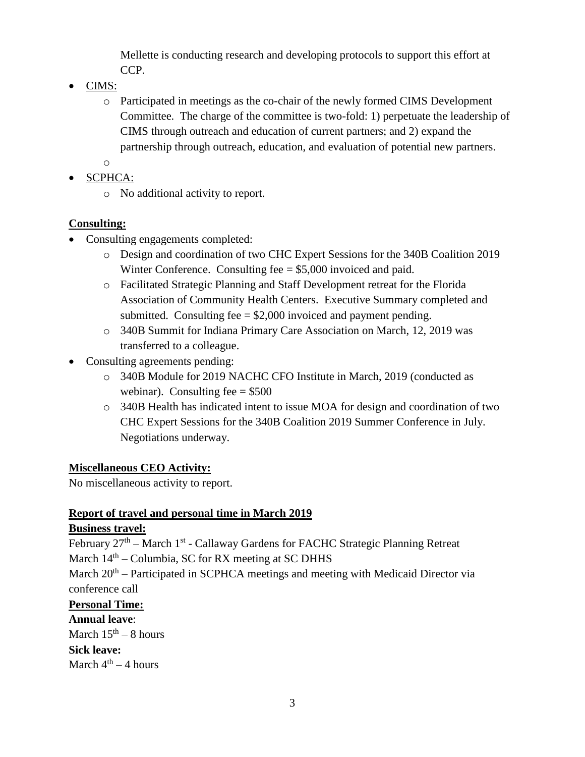Mellette is conducting research and developing protocols to support this effort at CCP.

- CIMS:
	- o Participated in meetings as the co-chair of the newly formed CIMS Development Committee. The charge of the committee is two-fold: 1) perpetuate the leadership of CIMS through outreach and education of current partners; and 2) expand the partnership through outreach, education, and evaluation of potential new partners.
	- o
- SCPHCA:
	- o No additional activity to report.

# **Consulting:**

- Consulting engagements completed:
	- o Design and coordination of two CHC Expert Sessions for the 340B Coalition 2019 Winter Conference. Consulting fee = \$5,000 invoiced and paid.
	- o Facilitated Strategic Planning and Staff Development retreat for the Florida Association of Community Health Centers. Executive Summary completed and submitted. Consulting fee  $= $2,000$  invoiced and payment pending.
	- o 340B Summit for Indiana Primary Care Association on March, 12, 2019 was transferred to a colleague.
- Consulting agreements pending:
	- o 340B Module for 2019 NACHC CFO Institute in March, 2019 (conducted as webinar). Consulting fee  $= $500$
	- o 340B Health has indicated intent to issue MOA for design and coordination of two CHC Expert Sessions for the 340B Coalition 2019 Summer Conference in July. Negotiations underway.

# **Miscellaneous CEO Activity:**

No miscellaneous activity to report.

# **Report of travel and personal time in March 2019**

# **Business travel:**

February 27<sup>th</sup> – March 1<sup>st</sup> - Callaway Gardens for FACHC Strategic Planning Retreat March  $14<sup>th</sup>$  – Columbia, SC for RX meeting at SC DHHS

March 20<sup>th</sup> – Participated in SCPHCA meetings and meeting with Medicaid Director via conference call

# **Personal Time:**

**Annual leave**:

March  $15<sup>th</sup> - 8$  hours **Sick leave:**  March  $4^{\text{th}} - 4$  hours